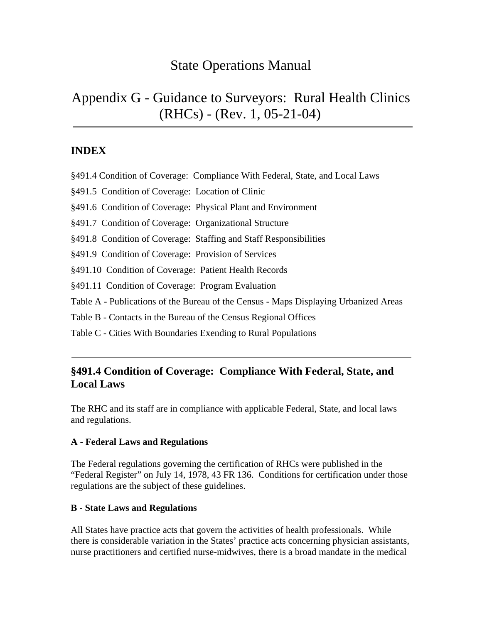# State Operations Manual

# Appendix G - Guidance to Surveyors: Rural Health Clinics (RHCs) - (Rev. 1, 05-21-04)

## **INDEX**

- §491.4 Condition of Coverage: Compliance With Federal, State, and Local Laws
- [§491.5 Condition of Coverage: Location of Clinic](#page-1-0)
- [§491.6 Condition of Coverage: Physical Plant and Environment](#page-4-0)
- [§491.7 Condition of Coverage: Organizational Structure](#page-5-0)
- [§491.8 Condition of Coverage: Staffing and Staff Responsibilities](#page-6-0)
- [§491.9 Condition of Coverage: Provision of Services](#page-9-0)
- [§491.10 Condition of Coverage: Patient Health Records](#page-14-0)
- [§491.11 Condition of Coverage: Program Evaluation](#page-15-0)
- [Table A Publications of the Bureau of the Census Maps Displaying Urbanized Areas](#page-16-0)
- [Table B Contacts in the Bureau of the Census Regional Offices](#page-18-0)
- [Table C Cities With Boundaries Exending to Rural Populations](#page-19-0)

## **§491.4 Condition of Coverage: Compliance With Federal, State, and Local Laws**

The RHC and its staff are in compliance with applicable Federal, State, and local laws and regulations.

## **A - Federal Laws and Regulations**

The Federal regulations governing the certification of RHCs were published in the "Federal Register" on July 14, 1978, 43 FR 136. Conditions for certification under those regulations are the subject of these guidelines.

## **B - State Laws and Regulations**

All States have practice acts that govern the activities of health professionals. While there is considerable variation in the States' practice acts concerning physician assistants, nurse practitioners and certified nurse-midwives, there is a broad mandate in the medical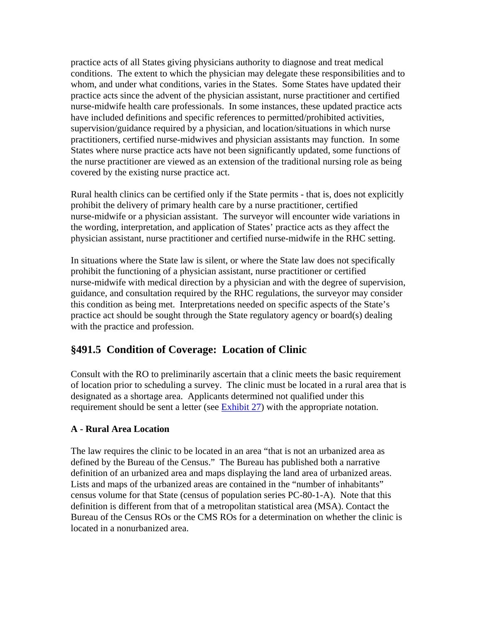<span id="page-1-0"></span>practice acts of all States giving physicians authority to diagnose and treat medical conditions. The extent to which the physician may delegate these responsibilities and to whom, and under what conditions, varies in the States. Some States have updated their practice acts since the advent of the physician assistant, nurse practitioner and certified nurse-midwife health care professionals. In some instances, these updated practice acts have included definitions and specific references to permitted/prohibited activities, supervision/guidance required by a physician, and location/situations in which nurse practitioners, certified nurse-midwives and physician assistants may function. In some States where nurse practice acts have not been significantly updated, some functions of the nurse practitioner are viewed as an extension of the traditional nursing role as being covered by the existing nurse practice act.

Rural health clinics can be certified only if the State permits - that is, does not explicitly prohibit the delivery of primary health care by a nurse practitioner, certified nurse-midwife or a physician assistant. The surveyor will encounter wide variations in the wording, interpretation, and application of States' practice acts as they affect the physician assistant, nurse practitioner and certified nurse-midwife in the RHC setting.

In situations where the State law is silent, or where the State law does not specifically prohibit the functioning of a physician assistant, nurse practitioner or certified nurse-midwife with medical direction by a physician and with the degree of supervision, guidance, and consultation required by the RHC regulations, the surveyor may consider this condition as being met. Interpretations needed on specific aspects of the State's practice act should be sought through the State regulatory agency or board(s) dealing with the practice and profession.

## **§491.5 Condition of Coverage: Location of Clinic**

Consult with the RO to preliminarily ascertain that a clinic meets the basic requirement of location prior to scheduling a survey. The clinic must be located in a rural area that is designated as a shortage area. Applicants determined not qualified under this requirement should be sent a letter (see [Exhibit 27\)](http://www.cms.hhs.gov/manuals/107_som/som107c09_exhibitstoc.asp) with the appropriate notation.

#### **A - Rural Area Location**

The law requires the clinic to be located in an area "that is not an urbanized area as defined by the Bureau of the Census." The Bureau has published both a narrative definition of an urbanized area and maps displaying the land area of urbanized areas. Lists and maps of the urbanized areas are contained in the "number of inhabitants" census volume for that State (census of population series PC-80-1-A). Note that this definition is different from that of a metropolitan statistical area (MSA). Contact the Bureau of the Census ROs or the CMS ROs for a determination on whether the clinic is located in a nonurbanized area.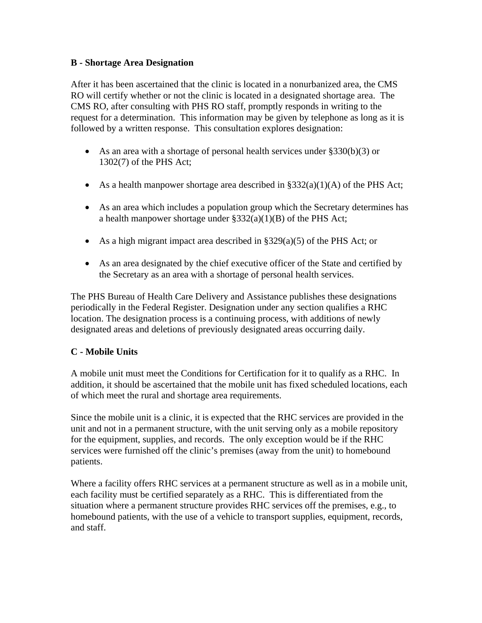#### **B - Shortage Area Designation**

After it has been ascertained that the clinic is located in a nonurbanized area, the CMS RO will certify whether or not the clinic is located in a designated shortage area. The CMS RO, after consulting with PHS RO staff, promptly responds in writing to the request for a determination. This information may be given by telephone as long as it is followed by a written response. This consultation explores designation:

- As an area with a shortage of personal health services under §330(b)(3) or 1302(7) of the PHS Act;
- As a health manpower shortage area described in  $\S 332(a)(1)(A)$  of the PHS Act;
- As an area which includes a population group which the Secretary determines has a health manpower shortage under §332(a)(1)(B) of the PHS Act;
- As a high migrant impact area described in §329(a)(5) of the PHS Act; or
- As an area designated by the chief executive officer of the State and certified by the Secretary as an area with a shortage of personal health services.

The PHS Bureau of Health Care Delivery and Assistance publishes these designations periodically in the Federal Register. Designation under any section qualifies a RHC location. The designation process is a continuing process, with additions of newly designated areas and deletions of previously designated areas occurring daily.

#### **C - Mobile Units**

A mobile unit must meet the Conditions for Certification for it to qualify as a RHC. In addition, it should be ascertained that the mobile unit has fixed scheduled locations, each of which meet the rural and shortage area requirements.

Since the mobile unit is a clinic, it is expected that the RHC services are provided in the unit and not in a permanent structure, with the unit serving only as a mobile repository for the equipment, supplies, and records. The only exception would be if the RHC services were furnished off the clinic's premises (away from the unit) to homebound patients.

Where a facility offers RHC services at a permanent structure as well as in a mobile unit, each facility must be certified separately as a RHC. This is differentiated from the situation where a permanent structure provides RHC services off the premises, e.g., to homebound patients, with the use of a vehicle to transport supplies, equipment, records, and staff.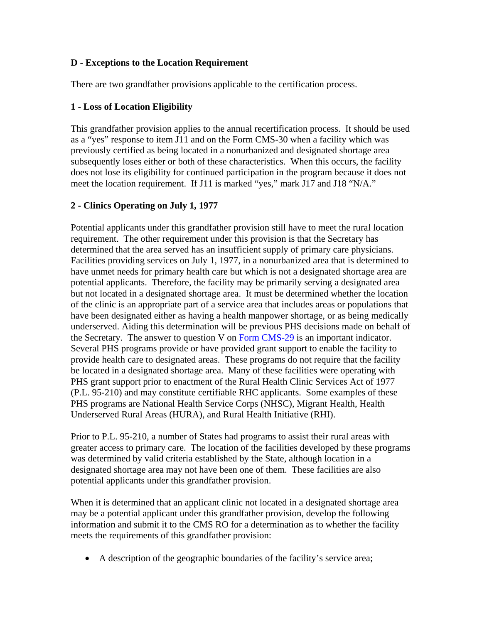#### **D - Exceptions to the Location Requirement**

There are two grandfather provisions applicable to the certification process.

### **1 - Loss of Location Eligibility**

This grandfather provision applies to the annual recertification process. It should be used as a "yes" response to item J11 and on the Form CMS-30 when a facility which was previously certified as being located in a nonurbanized and designated shortage area subsequently loses either or both of these characteristics. When this occurs, the facility does not lose its eligibility for continued participation in the program because it does not meet the location requirement. If J11 is marked "yes," mark J17 and J18 "N/A."

### **2 - Clinics Operating on July 1, 1977**

Potential applicants under this grandfather provision still have to meet the rural location requirement. The other requirement under this provision is that the Secretary has determined that the area served has an insufficient supply of primary care physicians. Facilities providing services on July 1, 1977, in a nonurbanized area that is determined to have unmet needs for primary health care but which is not a designated shortage area are potential applicants. Therefore, the facility may be primarily serving a designated area but not located in a designated shortage area. It must be determined whether the location of the clinic is an appropriate part of a service area that includes areas or populations that have been designated either as having a health manpower shortage, or as being medically underserved. Aiding this determination will be previous PHS decisions made on behalf of the Secretary. The answer to question V on [Form CMS-29](http://www.cms.hhs.gov/forms/) is an important indicator. Several PHS programs provide or have provided grant support to enable the facility to provide health care to designated areas. These programs do not require that the facility be located in a designated shortage area. Many of these facilities were operating with PHS grant support prior to enactment of the Rural Health Clinic Services Act of 1977 (P.L. 95-210) and may constitute certifiable RHC applicants. Some examples of these PHS programs are National Health Service Corps (NHSC), Migrant Health, Health Underserved Rural Areas (HURA), and Rural Health Initiative (RHI).

Prior to P.L. 95-210, a number of States had programs to assist their rural areas with greater access to primary care. The location of the facilities developed by these programs was determined by valid criteria established by the State, although location in a designated shortage area may not have been one of them. These facilities are also potential applicants under this grandfather provision.

When it is determined that an applicant clinic not located in a designated shortage area may be a potential applicant under this grandfather provision, develop the following information and submit it to the CMS RO for a determination as to whether the facility meets the requirements of this grandfather provision:

• A description of the geographic boundaries of the facility's service area;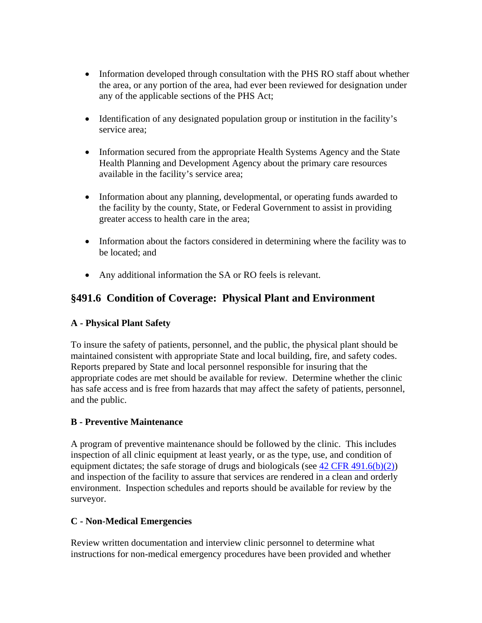- <span id="page-4-0"></span>• Information developed through consultation with the PHS RO staff about whether the area, or any portion of the area, had ever been reviewed for designation under any of the applicable sections of the PHS Act;
- Identification of any designated population group or institution in the facility's service area;
- Information secured from the appropriate Health Systems Agency and the State Health Planning and Development Agency about the primary care resources available in the facility's service area;
- Information about any planning, developmental, or operating funds awarded to the facility by the county, State, or Federal Government to assist in providing greater access to health care in the area;
- Information about the factors considered in determining where the facility was to be located; and
- Any additional information the SA or RO feels is relevant.

## **§491.6 Condition of Coverage: Physical Plant and Environment**

## **A - Physical Plant Safety**

To insure the safety of patients, personnel, and the public, the physical plant should be maintained consistent with appropriate State and local building, fire, and safety codes. Reports prepared by State and local personnel responsible for insuring that the appropriate codes are met should be available for review. Determine whether the clinic has safe access and is free from hazards that may affect the safety of patients, personnel, and the public.

## **B - Preventive Maintenance**

A program of preventive maintenance should be followed by the clinic. This includes inspection of all clinic equipment at least yearly, or as the type, use, and condition of equipment dictates; the safe storage of drugs and biologicals (see  $42 \text{ CFR } 491.6(b)(2)$ ) and inspection of the facility to assure that services are rendered in a clean and orderly environment. Inspection schedules and reports should be available for review by the surveyor.

## **C - Non-Medical Emergencies**

Review written documentation and interview clinic personnel to determine what instructions for non-medical emergency procedures have been provided and whether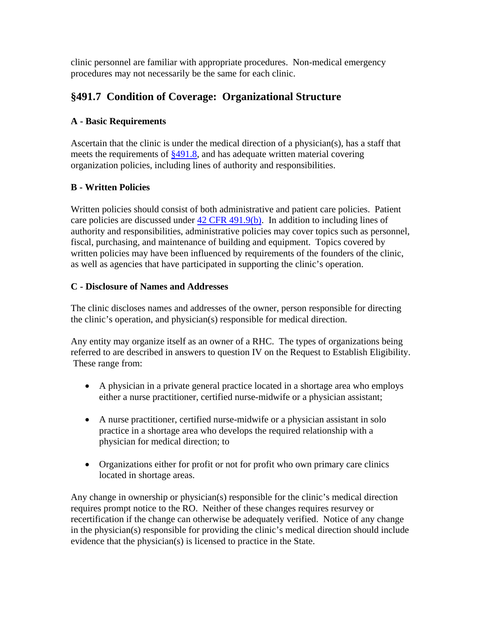<span id="page-5-0"></span>clinic personnel are familiar with appropriate procedures. Non-medical emergency procedures may not necessarily be the same for each clinic.

## **§491.7 Condition of Coverage: Organizational Structure**

### **A - Basic Requirements**

Ascertain that the clinic is under the medical direction of a physician(s), has a staff that meets the requirements of [§491.8](#page-6-0), and has adequate written material covering organization policies, including lines of authority and responsibilities.

### **B - Written Policies**

Written policies should consist of both administrative and patient care policies. Patient care policies are discussed under  $42$  CFR 491.9(b). In addition to including lines of authority and responsibilities, administrative policies may cover topics such as personnel, fiscal, purchasing, and maintenance of building and equipment. Topics covered by written policies may have been influenced by requirements of the founders of the clinic, as well as agencies that have participated in supporting the clinic's operation.

#### **C - Disclosure of Names and Addresses**

The clinic discloses names and addresses of the owner, person responsible for directing the clinic's operation, and physician(s) responsible for medical direction.

Any entity may organize itself as an owner of a RHC. The types of organizations being referred to are described in answers to question IV on the Request to Establish Eligibility. These range from:

- A physician in a private general practice located in a shortage area who employs either a nurse practitioner, certified nurse-midwife or a physician assistant;
- A nurse practitioner, certified nurse-midwife or a physician assistant in solo practice in a shortage area who develops the required relationship with a physician for medical direction; to
- Organizations either for profit or not for profit who own primary care clinics located in shortage areas.

Any change in ownership or physician(s) responsible for the clinic's medical direction requires prompt notice to the RO. Neither of these changes requires resurvey or recertification if the change can otherwise be adequately verified. Notice of any change in the physician(s) responsible for providing the clinic's medical direction should include evidence that the physician(s) is licensed to practice in the State.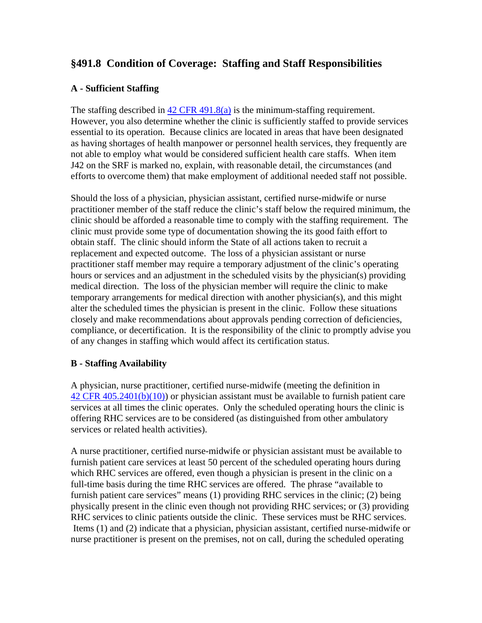## <span id="page-6-0"></span>**§491.8 Condition of Coverage: Staffing and Staff Responsibilities**

#### **A - Sufficient Staffing**

The staffing described in [42 CFR 491.8\(a\)](http://www.cms.hhs.gov/regulations/) is the minimum-staffing requirement. However, you also determine whether the clinic is sufficiently staffed to provide services essential to its operation. Because clinics are located in areas that have been designated as having shortages of health manpower or personnel health services, they frequently are not able to employ what would be considered sufficient health care staffs. When item J42 on the SRF is marked no, explain, with reasonable detail, the circumstances (and efforts to overcome them) that make employment of additional needed staff not possible.

Should the loss of a physician, physician assistant, certified nurse-midwife or nurse practitioner member of the staff reduce the clinic's staff below the required minimum, the clinic should be afforded a reasonable time to comply with the staffing requirement. The clinic must provide some type of documentation showing the its good faith effort to obtain staff. The clinic should inform the State of all actions taken to recruit a replacement and expected outcome. The loss of a physician assistant or nurse practitioner staff member may require a temporary adjustment of the clinic's operating hours or services and an adjustment in the scheduled visits by the physician(s) providing medical direction. The loss of the physician member will require the clinic to make temporary arrangements for medical direction with another physician(s), and this might alter the scheduled times the physician is present in the clinic. Follow these situations closely and make recommendations about approvals pending correction of deficiencies, compliance, or decertification. It is the responsibility of the clinic to promptly advise you of any changes in staffing which would affect its certification status.

#### **B - Staffing Availability**

A physician, nurse practitioner, certified nurse-midwife (meeting the definition in [42 CFR 405.2401\(b\)\(10\)\)](http://www.cms.hhs.gov/regulations/) or physician assistant must be available to furnish patient care services at all times the clinic operates. Only the scheduled operating hours the clinic is offering RHC services are to be considered (as distinguished from other ambulatory services or related health activities).

A nurse practitioner, certified nurse-midwife or physician assistant must be available to furnish patient care services at least 50 percent of the scheduled operating hours during which RHC services are offered, even though a physician is present in the clinic on a full-time basis during the time RHC services are offered. The phrase "available to furnish patient care services" means (1) providing RHC services in the clinic; (2) being physically present in the clinic even though not providing RHC services; or (3) providing RHC services to clinic patients outside the clinic. These services must be RHC services. Items (1) and (2) indicate that a physician, physician assistant, certified nurse-midwife or nurse practitioner is present on the premises, not on call, during the scheduled operating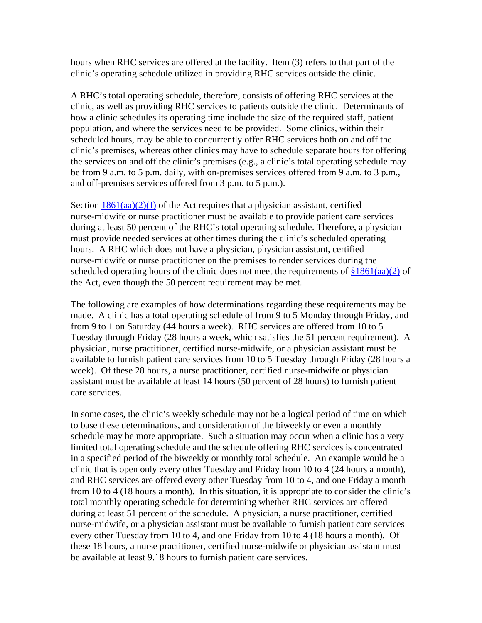hours when RHC services are offered at the facility. Item (3) refers to that part of the clinic's operating schedule utilized in providing RHC services outside the clinic.

A RHC's total operating schedule, therefore, consists of offering RHC services at the clinic, as well as providing RHC services to patients outside the clinic. Determinants of how a clinic schedules its operating time include the size of the required staff, patient population, and where the services need to be provided. Some clinics, within their scheduled hours, may be able to concurrently offer RHC services both on and off the clinic's premises, whereas other clinics may have to schedule separate hours for offering the services on and off the clinic's premises (e.g., a clinic's total operating schedule may be from 9 a.m. to 5 p.m. daily, with on-premises services offered from 9 a.m. to 3 p.m., and off-premises services offered from 3 p.m. to 5 p.m.).

Section  $1861(aa)(2)(J)$  of the Act requires that a physician assistant, certified nurse-midwife or nurse practitioner must be available to provide patient care services during at least 50 percent of the RHC's total operating schedule. Therefore, a physician must provide needed services at other times during the clinic's scheduled operating hours. A RHC which does not have a physician, physician assistant, certified nurse-midwife or nurse practitioner on the premises to render services during the scheduled operating hours of the clinic does not meet the requirements of  $\frac{$1861}{(aa)(2)}$  of the Act, even though the 50 percent requirement may be met.

The following are examples of how determinations regarding these requirements may be made. A clinic has a total operating schedule of from 9 to 5 Monday through Friday, and from 9 to 1 on Saturday (44 hours a week). RHC services are offered from 10 to 5 Tuesday through Friday (28 hours a week, which satisfies the 51 percent requirement). A physician, nurse practitioner, certified nurse-midwife, or a physician assistant must be available to furnish patient care services from 10 to 5 Tuesday through Friday (28 hours a week). Of these 28 hours, a nurse practitioner, certified nurse-midwife or physician assistant must be available at least 14 hours (50 percent of 28 hours) to furnish patient care services.

In some cases, the clinic's weekly schedule may not be a logical period of time on which to base these determinations, and consideration of the biweekly or even a monthly schedule may be more appropriate. Such a situation may occur when a clinic has a very limited total operating schedule and the schedule offering RHC services is concentrated in a specified period of the biweekly or monthly total schedule. An example would be a clinic that is open only every other Tuesday and Friday from 10 to 4 (24 hours a month), and RHC services are offered every other Tuesday from 10 to 4, and one Friday a month from 10 to 4 (18 hours a month). In this situation, it is appropriate to consider the clinic's total monthly operating schedule for determining whether RHC services are offered during at least 51 percent of the schedule. A physician, a nurse practitioner, certified nurse-midwife, or a physician assistant must be available to furnish patient care services every other Tuesday from 10 to 4, and one Friday from 10 to 4 (18 hours a month). Of these 18 hours, a nurse practitioner, certified nurse-midwife or physician assistant must be available at least 9.18 hours to furnish patient care services.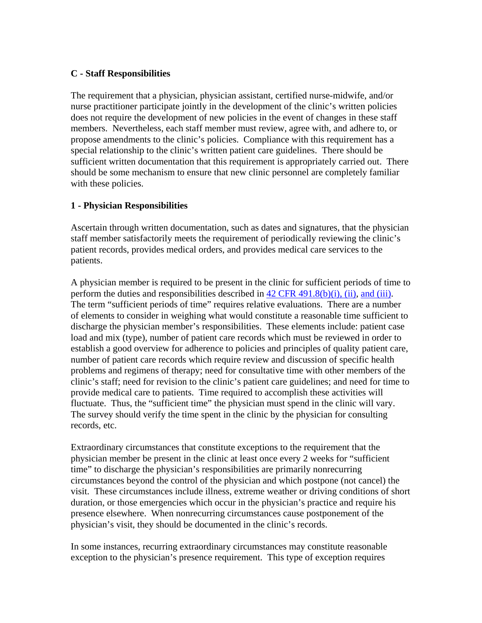#### **C - Staff Responsibilities**

The requirement that a physician, physician assistant, certified nurse-midwife, and/or nurse practitioner participate jointly in the development of the clinic's written policies does not require the development of new policies in the event of changes in these staff members. Nevertheless, each staff member must review, agree with, and adhere to, or propose amendments to the clinic's policies. Compliance with this requirement has a special relationship to the clinic's written patient care guidelines. There should be sufficient written documentation that this requirement is appropriately carried out. There should be some mechanism to ensure that new clinic personnel are completely familiar with these policies.

#### **1 - Physician Responsibilities**

Ascertain through written documentation, such as dates and signatures, that the physician staff member satisfactorily meets the requirement of periodically reviewing the clinic's patient records, provides medical orders, and provides medical care services to the patients.

A physician member is required to be present in the clinic for sufficient periods of time to perform the duties and responsibilities described in  $42 \text{ CFR } 491.8(b)(i)$ , (ii), [and \(iii\).](http://www.cms.hhs.gov/regulations/) The term "sufficient periods of time" requires relative evaluations. There are a number of elements to consider in weighing what would constitute a reasonable time sufficient to discharge the physician member's responsibilities. These elements include: patient case load and mix (type), number of patient care records which must be reviewed in order to establish a good overview for adherence to policies and principles of quality patient care, number of patient care records which require review and discussion of specific health problems and regimens of therapy; need for consultative time with other members of the clinic's staff; need for revision to the clinic's patient care guidelines; and need for time to provide medical care to patients. Time required to accomplish these activities will fluctuate. Thus, the "sufficient time" the physician must spend in the clinic will vary. The survey should verify the time spent in the clinic by the physician for consulting records, etc.

Extraordinary circumstances that constitute exceptions to the requirement that the physician member be present in the clinic at least once every 2 weeks for "sufficient time" to discharge the physician's responsibilities are primarily nonrecurring circumstances beyond the control of the physician and which postpone (not cancel) the visit. These circumstances include illness, extreme weather or driving conditions of short duration, or those emergencies which occur in the physician's practice and require his presence elsewhere. When nonrecurring circumstances cause postponement of the physician's visit, they should be documented in the clinic's records.

In some instances, recurring extraordinary circumstances may constitute reasonable exception to the physician's presence requirement. This type of exception requires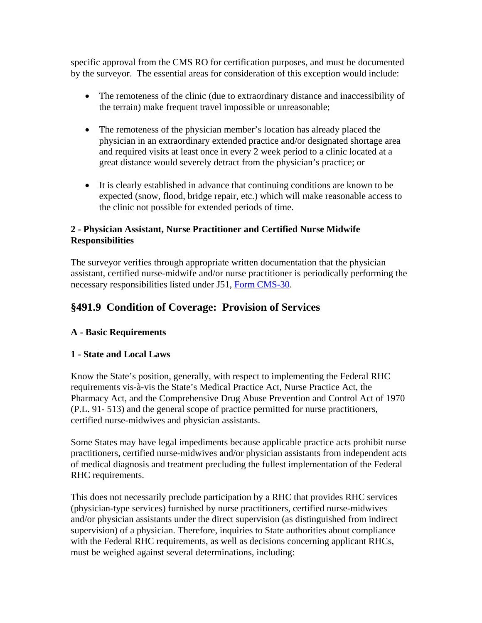<span id="page-9-0"></span>specific approval from the CMS RO for certification purposes, and must be documented by the surveyor. The essential areas for consideration of this exception would include:

- The remoteness of the clinic (due to extraordinary distance and inaccessibility of the terrain) make frequent travel impossible or unreasonable;
- The remoteness of the physician member's location has already placed the physician in an extraordinary extended practice and/or designated shortage area and required visits at least once in every 2 week period to a clinic located at a great distance would severely detract from the physician's practice; or
- It is clearly established in advance that continuing conditions are known to be expected (snow, flood, bridge repair, etc.) which will make reasonable access to the clinic not possible for extended periods of time.

### **2 - Physician Assistant, Nurse Practitioner and Certified Nurse Midwife Responsibilities**

The surveyor verifies through appropriate written documentation that the physician assistant, certified nurse-midwife and/or nurse practitioner is periodically performing the necessary responsibilities listed under J51, [Form CMS-30](http://www.cms.hhs.gov/forms/).

## **§491.9 Condition of Coverage: Provision of Services**

## **A - Basic Requirements**

## **1 - State and Local Laws**

Know the State's position, generally, with respect to implementing the Federal RHC requirements vis-à-vis the State's Medical Practice Act, Nurse Practice Act, the Pharmacy Act, and the Comprehensive Drug Abuse Prevention and Control Act of 1970 (P.L. 91- 513) and the general scope of practice permitted for nurse practitioners, certified nurse-midwives and physician assistants.

Some States may have legal impediments because applicable practice acts prohibit nurse practitioners, certified nurse-midwives and/or physician assistants from independent acts of medical diagnosis and treatment precluding the fullest implementation of the Federal RHC requirements.

This does not necessarily preclude participation by a RHC that provides RHC services (physician-type services) furnished by nurse practitioners, certified nurse-midwives and/or physician assistants under the direct supervision (as distinguished from indirect supervision) of a physician. Therefore, inquiries to State authorities about compliance with the Federal RHC requirements, as well as decisions concerning applicant RHCs, must be weighed against several determinations, including: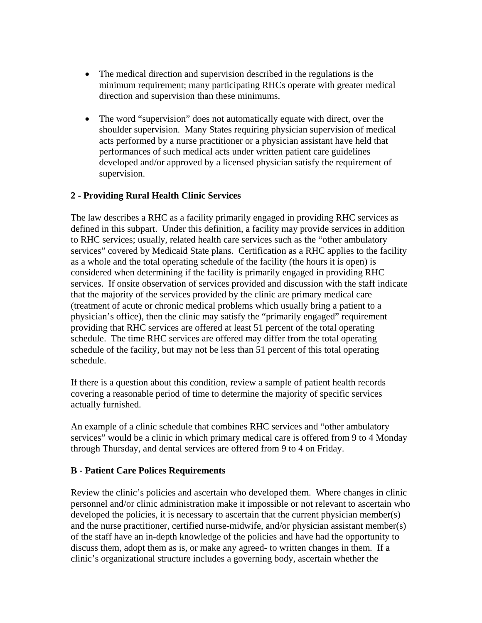- The medical direction and supervision described in the regulations is the minimum requirement; many participating RHCs operate with greater medical direction and supervision than these minimums.
- The word "supervision" does not automatically equate with direct, over the shoulder supervision. Many States requiring physician supervision of medical acts performed by a nurse practitioner or a physician assistant have held that performances of such medical acts under written patient care guidelines developed and/or approved by a licensed physician satisfy the requirement of supervision.

### **2 - Providing Rural Health Clinic Services**

The law describes a RHC as a facility primarily engaged in providing RHC services as defined in this subpart. Under this definition, a facility may provide services in addition to RHC services; usually, related health care services such as the "other ambulatory services" covered by Medicaid State plans. Certification as a RHC applies to the facility as a whole and the total operating schedule of the facility (the hours it is open) is considered when determining if the facility is primarily engaged in providing RHC services. If onsite observation of services provided and discussion with the staff indicate that the majority of the services provided by the clinic are primary medical care (treatment of acute or chronic medical problems which usually bring a patient to a physician's office), then the clinic may satisfy the "primarily engaged" requirement providing that RHC services are offered at least 51 percent of the total operating schedule. The time RHC services are offered may differ from the total operating schedule of the facility, but may not be less than 51 percent of this total operating schedule.

If there is a question about this condition, review a sample of patient health records covering a reasonable period of time to determine the majority of specific services actually furnished.

An example of a clinic schedule that combines RHC services and "other ambulatory services" would be a clinic in which primary medical care is offered from 9 to 4 Monday through Thursday, and dental services are offered from 9 to 4 on Friday.

#### **B - Patient Care Polices Requirements**

Review the clinic's policies and ascertain who developed them. Where changes in clinic personnel and/or clinic administration make it impossible or not relevant to ascertain who developed the policies, it is necessary to ascertain that the current physician member(s) and the nurse practitioner, certified nurse-midwife, and/or physician assistant member(s) of the staff have an in-depth knowledge of the policies and have had the opportunity to discuss them, adopt them as is, or make any agreed- to written changes in them. If a clinic's organizational structure includes a governing body, ascertain whether the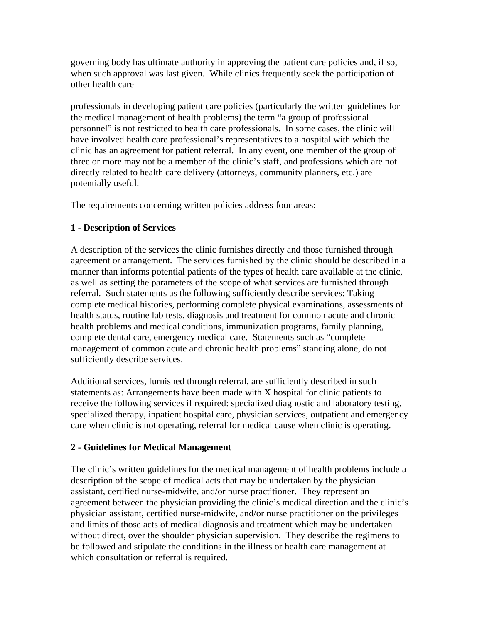governing body has ultimate authority in approving the patient care policies and, if so, when such approval was last given. While clinics frequently seek the participation of other health care

professionals in developing patient care policies (particularly the written guidelines for the medical management of health problems) the term "a group of professional personnel" is not restricted to health care professionals. In some cases, the clinic will have involved health care professional's representatives to a hospital with which the clinic has an agreement for patient referral. In any event, one member of the group of three or more may not be a member of the clinic's staff, and professions which are not directly related to health care delivery (attorneys, community planners, etc.) are potentially useful.

The requirements concerning written policies address four areas:

### **1 - Description of Services**

A description of the services the clinic furnishes directly and those furnished through agreement or arrangement. The services furnished by the clinic should be described in a manner than informs potential patients of the types of health care available at the clinic, as well as setting the parameters of the scope of what services are furnished through referral. Such statements as the following sufficiently describe services: Taking complete medical histories, performing complete physical examinations, assessments of health status, routine lab tests, diagnosis and treatment for common acute and chronic health problems and medical conditions, immunization programs, family planning, complete dental care, emergency medical care. Statements such as "complete management of common acute and chronic health problems" standing alone, do not sufficiently describe services.

Additional services, furnished through referral, are sufficiently described in such statements as: Arrangements have been made with X hospital for clinic patients to receive the following services if required: specialized diagnostic and laboratory testing, specialized therapy, inpatient hospital care, physician services, outpatient and emergency care when clinic is not operating, referral for medical cause when clinic is operating.

#### **2 - Guidelines for Medical Management**

The clinic's written guidelines for the medical management of health problems include a description of the scope of medical acts that may be undertaken by the physician assistant, certified nurse-midwife, and/or nurse practitioner. They represent an agreement between the physician providing the clinic's medical direction and the clinic's physician assistant, certified nurse-midwife, and/or nurse practitioner on the privileges and limits of those acts of medical diagnosis and treatment which may be undertaken without direct, over the shoulder physician supervision. They describe the regimens to be followed and stipulate the conditions in the illness or health care management at which consultation or referral is required.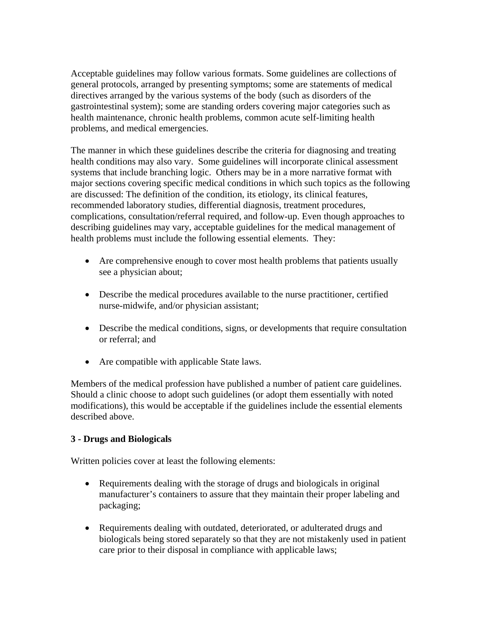Acceptable guidelines may follow various formats. Some guidelines are collections of general protocols, arranged by presenting symptoms; some are statements of medical directives arranged by the various systems of the body (such as disorders of the gastrointestinal system); some are standing orders covering major categories such as health maintenance, chronic health problems, common acute self-limiting health problems, and medical emergencies.

The manner in which these guidelines describe the criteria for diagnosing and treating health conditions may also vary. Some guidelines will incorporate clinical assessment systems that include branching logic. Others may be in a more narrative format with major sections covering specific medical conditions in which such topics as the following are discussed: The definition of the condition, its etiology, its clinical features, recommended laboratory studies, differential diagnosis, treatment procedures, complications, consultation/referral required, and follow-up. Even though approaches to describing guidelines may vary, acceptable guidelines for the medical management of health problems must include the following essential elements. They:

- Are comprehensive enough to cover most health problems that patients usually see a physician about;
- Describe the medical procedures available to the nurse practitioner, certified nurse-midwife, and/or physician assistant;
- Describe the medical conditions, signs, or developments that require consultation or referral; and
- Are compatible with applicable State laws.

Members of the medical profession have published a number of patient care guidelines. Should a clinic choose to adopt such guidelines (or adopt them essentially with noted modifications), this would be acceptable if the guidelines include the essential elements described above.

#### **3 - Drugs and Biologicals**

Written policies cover at least the following elements:

- Requirements dealing with the storage of drugs and biologicals in original manufacturer's containers to assure that they maintain their proper labeling and packaging;
- Requirements dealing with outdated, deteriorated, or adulterated drugs and biologicals being stored separately so that they are not mistakenly used in patient care prior to their disposal in compliance with applicable laws;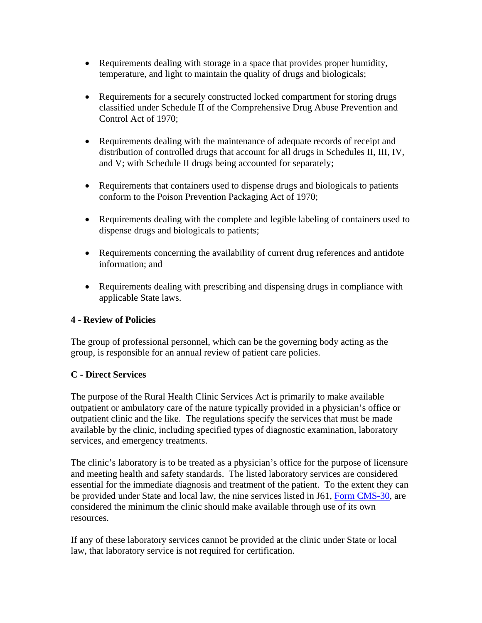- Requirements dealing with storage in a space that provides proper humidity, temperature, and light to maintain the quality of drugs and biologicals;
- Requirements for a securely constructed locked compartment for storing drugs classified under Schedule II of the Comprehensive Drug Abuse Prevention and Control Act of 1970;
- Requirements dealing with the maintenance of adequate records of receipt and distribution of controlled drugs that account for all drugs in Schedules II, III, IV, and V; with Schedule II drugs being accounted for separately;
- Requirements that containers used to dispense drugs and biologicals to patients conform to the Poison Prevention Packaging Act of 1970;
- Requirements dealing with the complete and legible labeling of containers used to dispense drugs and biologicals to patients;
- Requirements concerning the availability of current drug references and antidote information; and
- Requirements dealing with prescribing and dispensing drugs in compliance with applicable State laws.

#### **4 - Review of Policies**

The group of professional personnel, which can be the governing body acting as the group, is responsible for an annual review of patient care policies.

## **C - Direct Services**

The purpose of the Rural Health Clinic Services Act is primarily to make available outpatient or ambulatory care of the nature typically provided in a physician's office or outpatient clinic and the like. The regulations specify the services that must be made available by the clinic, including specified types of diagnostic examination, laboratory services, and emergency treatments.

The clinic's laboratory is to be treated as a physician's office for the purpose of licensure and meeting health and safety standards. The listed laboratory services are considered essential for the immediate diagnosis and treatment of the patient. To the extent they can be provided under State and local law, the nine services listed in J61, [Form CMS-30](http://www.cms.hhs.gov/forms/), are considered the minimum the clinic should make available through use of its own resources.

If any of these laboratory services cannot be provided at the clinic under State or local law, that laboratory service is not required for certification.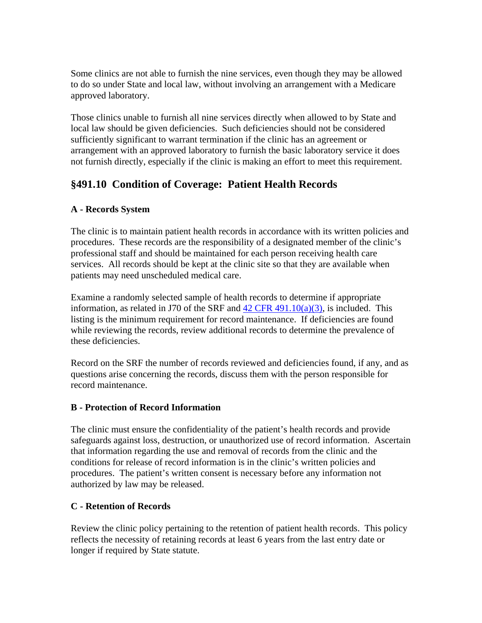<span id="page-14-0"></span>Some clinics are not able to furnish the nine services, even though they may be allowed to do so under State and local law, without involving an arrangement with a Medicare approved laboratory.

Those clinics unable to furnish all nine services directly when allowed to by State and local law should be given deficiencies. Such deficiencies should not be considered sufficiently significant to warrant termination if the clinic has an agreement or arrangement with an approved laboratory to furnish the basic laboratory service it does not furnish directly, especially if the clinic is making an effort to meet this requirement.

## **§491.10 Condition of Coverage: Patient Health Records**

## **A - Records System**

The clinic is to maintain patient health records in accordance with its written policies and procedures. These records are the responsibility of a designated member of the clinic's professional staff and should be maintained for each person receiving health care services. All records should be kept at the clinic site so that they are available when patients may need unscheduled medical care.

Examine a randomly selected sample of health records to determine if appropriate information, as related in J70 of the SRF and  $42$  CFR  $491.10(a)(3)$ , is included. This listing is the minimum requirement for record maintenance. If deficiencies are found while reviewing the records, review additional records to determine the prevalence of these deficiencies.

Record on the SRF the number of records reviewed and deficiencies found, if any, and as questions arise concerning the records, discuss them with the person responsible for record maintenance.

## **B - Protection of Record Information**

The clinic must ensure the confidentiality of the patient's health records and provide safeguards against loss, destruction, or unauthorized use of record information. Ascertain that information regarding the use and removal of records from the clinic and the conditions for release of record information is in the clinic's written policies and procedures. The patient's written consent is necessary before any information not authorized by law may be released.

## **C - Retention of Records**

Review the clinic policy pertaining to the retention of patient health records. This policy reflects the necessity of retaining records at least 6 years from the last entry date or longer if required by State statute.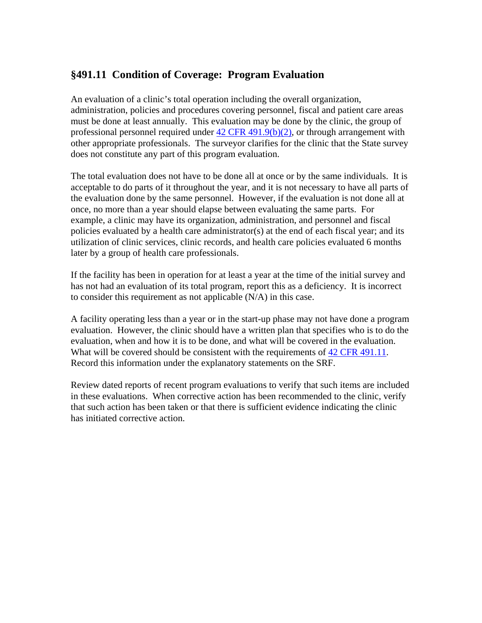## <span id="page-15-0"></span>**§491.11 Condition of Coverage: Program Evaluation**

An evaluation of a clinic's total operation including the overall organization, administration, policies and procedures covering personnel, fiscal and patient care areas must be done at least annually. This evaluation may be done by the clinic, the group of professional personnel required under  $42$  CFR  $491.9(b)(2)$ , or through arrangement with other appropriate professionals. The surveyor clarifies for the clinic that the State survey does not constitute any part of this program evaluation.

The total evaluation does not have to be done all at once or by the same individuals. It is acceptable to do parts of it throughout the year, and it is not necessary to have all parts of the evaluation done by the same personnel. However, if the evaluation is not done all at once, no more than a year should elapse between evaluating the same parts. For example, a clinic may have its organization, administration, and personnel and fiscal policies evaluated by a health care administrator(s) at the end of each fiscal year; and its utilization of clinic services, clinic records, and health care policies evaluated 6 months later by a group of health care professionals.

If the facility has been in operation for at least a year at the time of the initial survey and has not had an evaluation of its total program, report this as a deficiency. It is incorrect to consider this requirement as not applicable (N/A) in this case.

A facility operating less than a year or in the start-up phase may not have done a program evaluation. However, the clinic should have a written plan that specifies who is to do the evaluation, when and how it is to be done, and what will be covered in the evaluation. What will be covered should be consistent with the requirements of [42 CFR 491.11.](http://www.cms.hhs.gov/regulations/) Record this information under the explanatory statements on the SRF.

Review dated reports of recent program evaluations to verify that such items are included in these evaluations. When corrective action has been recommended to the clinic, verify that such action has been taken or that there is sufficient evidence indicating the clinic has initiated corrective action.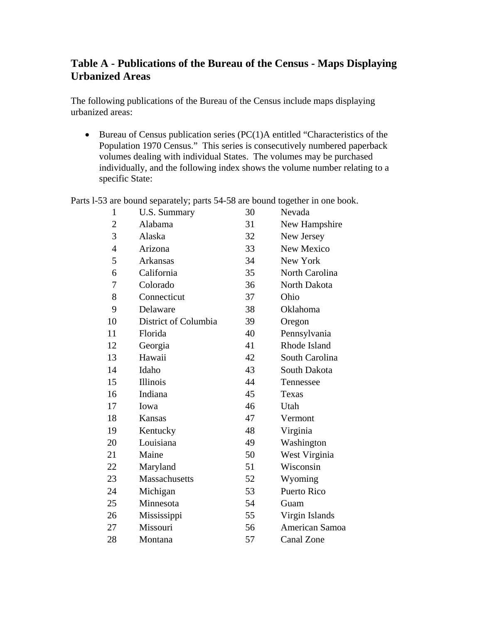## <span id="page-16-0"></span>**Table A - Publications of the Bureau of the Census - Maps Displaying Urbanized Areas**

The following publications of the Bureau of the Census include maps displaying urbanized areas:

• Bureau of Census publication series (PC(1)A entitled "Characteristics of the Population 1970 Census." This series is consecutively numbered paperback volumes dealing with individual States. The volumes may be purchased individually, and the following index shows the volume number relating to a specific State:

Parts l-53 are bound separately; parts 54-58 are bound together in one book.

| $\mathbf{1}$   | U.S. Summary         | 30 | Nevada         |
|----------------|----------------------|----|----------------|
| $\overline{c}$ | Alabama              | 31 | New Hampshire  |
| 3              | Alaska               | 32 | New Jersey     |
| $\overline{4}$ | Arizona              | 33 | New Mexico     |
| 5              | Arkansas             | 34 | New York       |
| 6              | California           | 35 | North Carolina |
| 7              | Colorado             | 36 | North Dakota   |
| 8              | Connecticut          | 37 | Ohio           |
| 9              | Delaware             | 38 | Oklahoma       |
| 10             | District of Columbia | 39 | Oregon         |
| 11             | Florida              | 40 | Pennsylvania   |
| 12             | Georgia              | 41 | Rhode Island   |
| 13             | Hawaii               | 42 | South Carolina |
| 14             | Idaho                | 43 | South Dakota   |
| 15             | Illinois             | 44 | Tennessee      |
| 16             | Indiana              | 45 | Texas          |
| 17             | Iowa                 | 46 | Utah           |
| 18             | <b>Kansas</b>        | 47 | Vermont        |
| 19             | Kentucky             | 48 | Virginia       |
| 20             | Louisiana            | 49 | Washington     |
| 21             | Maine                | 50 | West Virginia  |
| 22             | Maryland             | 51 | Wisconsin      |
| 23             | Massachusetts        | 52 | Wyoming        |
| 24             | Michigan             | 53 | Puerto Rico    |
| 25             | Minnesota            | 54 | Guam           |
| 26             | Mississippi          | 55 | Virgin Islands |
| 27             | Missouri             | 56 | American Samoa |
| 28             | Montana              | 57 | Canal Zone     |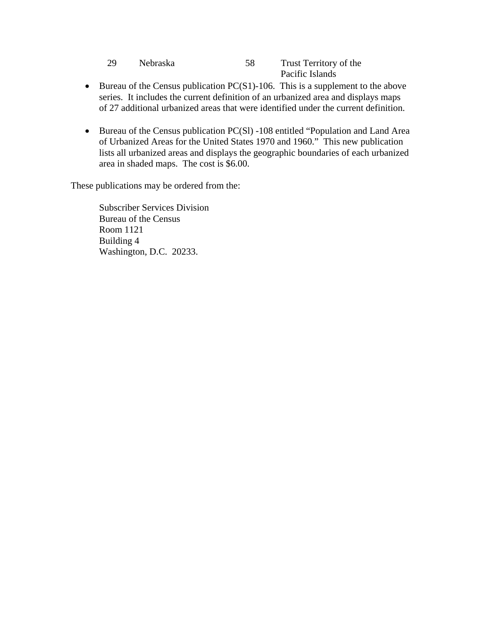| 29 | <b>Nebraska</b> | Trust Territory of the |
|----|-----------------|------------------------|
|    |                 | Pacific Islands        |

- Bureau of the Census publication  $PC(S1)$ -106. This is a supplement to the above series. It includes the current definition of an urbanized area and displays maps of 27 additional urbanized areas that were identified under the current definition.
- Bureau of the Census publication PC(S1) -108 entitled "Population and Land Area of Urbanized Areas for the United States 1970 and 1960." This new publication lists all urbanized areas and displays the geographic boundaries of each urbanized area in shaded maps. The cost is \$6.00.

These publications may be ordered from the:

Subscriber Services Division Bureau of the Census Room 1121 Building 4 Washington, D.C. 20233.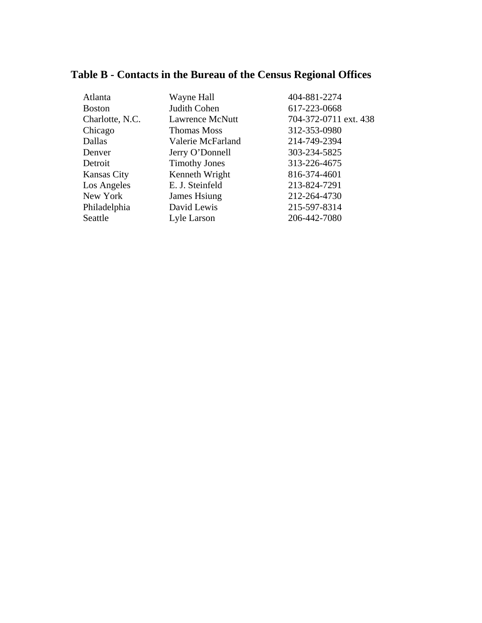# <span id="page-18-0"></span>**Table B - Contacts in the Bureau of the Census Regional Offices**

| Atlanta            | Wayne Hall             | 404-881-2274          |
|--------------------|------------------------|-----------------------|
| <b>Boston</b>      | Judith Cohen           | 617-223-0668          |
| Charlotte, N.C.    | <b>Lawrence McNutt</b> | 704-372-0711 ext. 438 |
| Chicago            | <b>Thomas Moss</b>     | 312-353-0980          |
| Dallas             | Valerie McFarland      | 214-749-2394          |
| Denver             | Jerry O'Donnell        | 303-234-5825          |
| Detroit            | <b>Timothy Jones</b>   | 313-226-4675          |
| <b>Kansas City</b> | Kenneth Wright         | 816-374-4601          |
| Los Angeles        | E. J. Steinfeld        | 213-824-7291          |
| New York           | James Hsiung           | 212-264-4730          |
| Philadelphia       | David Lewis            | 215-597-8314          |
| Seattle            | Lyle Larson            | 206-442-7080          |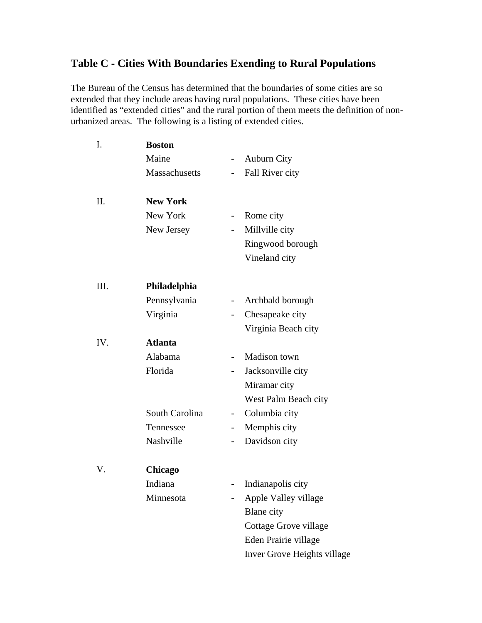## <span id="page-19-0"></span>**Table C - Cities With Boundaries Exending to Rural Populations**

The Bureau of the Census has determined that the boundaries of some cities are so extended that they include areas having rural populations. These cities have been identified as "extended cities" and the rural portion of them meets the definition of nonurbanized areas. The following is a listing of extended cities.

| I.   | <b>Boston</b>   |                          |                             |
|------|-----------------|--------------------------|-----------------------------|
|      | Maine           | $\overline{\phantom{0}}$ | <b>Auburn City</b>          |
|      | Massachusetts   |                          | Fall River city             |
| Π.   | <b>New York</b> |                          |                             |
|      | New York        | $\overline{\phantom{0}}$ | Rome city                   |
|      | New Jersey      |                          | Millville city              |
|      |                 |                          | Ringwood borough            |
|      |                 |                          | Vineland city               |
| III. | Philadelphia    |                          |                             |
|      | Pennsylvania    |                          | Archbald borough            |
|      | Virginia        |                          | Chesapeake city             |
|      |                 |                          | Virginia Beach city         |
| IV.  | <b>Atlanta</b>  |                          |                             |
|      | Alabama         |                          | Madison town                |
|      | Florida         |                          | Jacksonville city           |
|      |                 |                          | Miramar city                |
|      |                 |                          | West Palm Beach city        |
|      | South Carolina  |                          | Columbia city               |
|      | Tennessee       |                          | Memphis city                |
|      | Nashville       |                          | Davidson city               |
| V.   | Chicago         |                          |                             |
|      | Indiana         |                          | Indianapolis city           |
|      | Minnesota       |                          | Apple Valley village        |
|      |                 |                          | <b>Blane</b> city           |
|      |                 |                          | Cottage Grove village       |
|      |                 |                          | Eden Prairie village        |
|      |                 |                          | Inver Grove Heights village |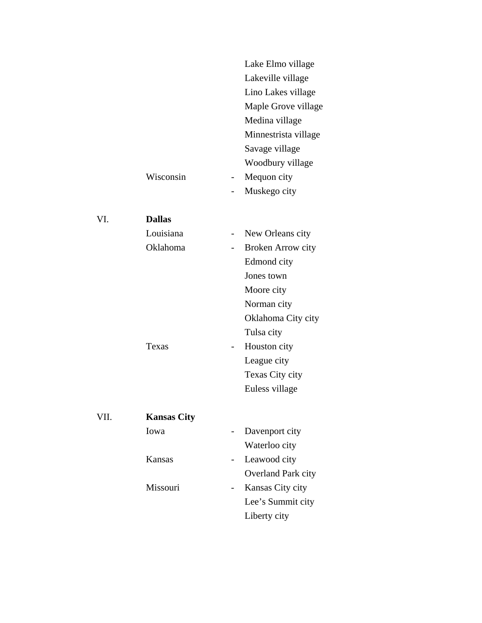|      |                    | Lake Elmo village<br>Lakeville village<br>Lino Lakes village<br>Maple Grove village<br>Medina village |  |
|------|--------------------|-------------------------------------------------------------------------------------------------------|--|
|      |                    | Minnestrista village<br>Savage village                                                                |  |
|      |                    | Woodbury village                                                                                      |  |
|      | Wisconsin          | Mequon city<br>$\overline{\phantom{0}}$                                                               |  |
|      |                    | Muskego city                                                                                          |  |
|      |                    |                                                                                                       |  |
| VI.  | <b>Dallas</b>      |                                                                                                       |  |
|      | Louisiana          | New Orleans city                                                                                      |  |
|      | Oklahoma           | <b>Broken Arrow city</b>                                                                              |  |
|      |                    | Edmond city                                                                                           |  |
|      |                    | Jones town                                                                                            |  |
|      |                    | Moore city                                                                                            |  |
|      |                    | Norman city                                                                                           |  |
|      |                    | Oklahoma City city                                                                                    |  |
|      |                    | Tulsa city                                                                                            |  |
|      | Texas              | Houston city                                                                                          |  |
|      |                    | League city                                                                                           |  |
|      |                    | Texas City city                                                                                       |  |
|      |                    | Euless village                                                                                        |  |
|      |                    |                                                                                                       |  |
| VII. | <b>Kansas City</b> |                                                                                                       |  |
|      | Iowa               | Davenport city                                                                                        |  |
|      |                    | Waterloo city                                                                                         |  |
|      | Kansas             | Leawood city                                                                                          |  |
|      |                    | Overland Park city                                                                                    |  |
|      | Missouri           | Kansas City city                                                                                      |  |
|      |                    | Lee's Summit city                                                                                     |  |
|      |                    | Liberty city                                                                                          |  |